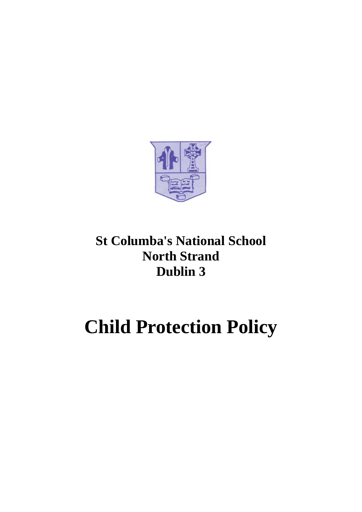

# **St Columba's National School North Strand Dublin 3**

# **Child Protection Policy**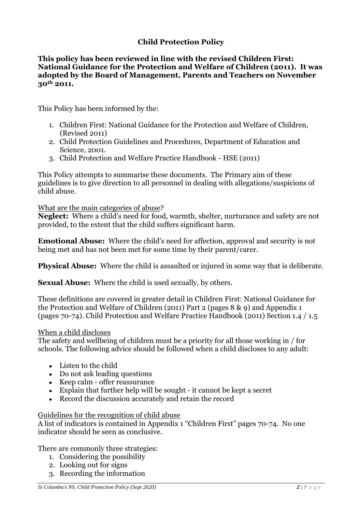# **Child Protection Policy**

#### **This policy has been reviewed in line with the revised Children First: National Guidance for the Protection and Welfare of Children (2011). It was adopted by the Board of Management, Parents and Teachers on November 30th 2011.**

This Policy has been informed by the:

- 1. Children First: National Guidance for the Protection and Welfare of Children, (Revised 2011)
- 2. Child Protection Guidelines and Procedures, Department of Education and Science, 2001.
- 3. Child Protection and Welfare Practice Handbook HSE (2011)

This Policy attempts to summarise these documents. The Primary aim of these guidelines is to give direction to all personnel in dealing with allegations/suspicions of child abuse.

#### What are the main categories of abuse?

**Neglect:** Where a child's need for food, warmth, shelter, nurturance and safety are not provided, to the extent that the child suffers significant harm.

**Emotional Abuse:** Where the child's need for affection, approval and security is not being met and has not been met for some time by their parent/carer.

**Physical Abuse:** Where the child is assaulted or injured in some way that is deliberate.

**Sexual Abuse:** Where the child is used sexually, by others.

These definitions are covered in greater detail in Children First: National Guidance for the Protection and Welfare of Children (2011) Part 2 (pages 8 & 9) and Appendix 1 (pages 70-74). Child Protection and Welfare Practice Handbook (2011) Section 1.4 / 1.5

#### When a child discloses

The safety and wellbeing of children must be a priority for all those working in / for schools. The following advice should be followed when a child discloses to any adult:

- Listen to the child
- $\bullet$  Do not ask leading questions
- Keep calm offer reassurance
- $\bullet$  Explain that further help will be sought it cannot be kept a secret
- Record the discussion accurately and retain the record

#### Guidelines for the recognition of child abuse

A list of indicators is contained in Appendix 1 "Children First" pages 70-74. No one indicator should be seen as conclusive.

There are commonly three strategies:

- 1. Considering the possibility
- 2. Looking out for signs
- 3. Recording the information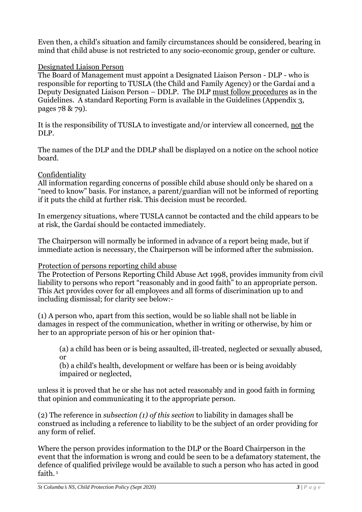Even then, a child's situation and family circumstances should be considered, bearing in mind that child abuse is not restricted to any socio-economic group, gender or culture.

#### Designated Liaison Person

The Board of Management must appoint a Designated Liaison Person - DLP - who is responsible for reporting to TUSLA (the Child and Family Agency) or the Gardaí and a Deputy Designated Liaison Person – DDLP. The DLP must follow procedures as in the Guidelines. A standard Reporting Form is available in the Guidelines (Appendix 3, pages 78 & 79).

It is the responsibility of TUSLA to investigate and/or interview all concerned, not the DLP.

The names of the DLP and the DDLP shall be displayed on a notice on the school notice board.

# Confidentiality

All information regarding concerns of possible child abuse should only be shared on a "need to know" basis. For instance, a parent/guardian will not be informed of reporting if it puts the child at further risk. This decision must be recorded.

In emergency situations, where TUSLA cannot be contacted and the child appears to be at risk, the Gardaí should be contacted immediately.

The Chairperson will normally be informed in advance of a report being made, but if immediate action is necessary, the Chairperson will be informed after the submission.

# Protection of persons reporting child abuse

The Protection of Persons Reporting Child Abuse Act 1998, provides immunity from civil liability to persons who report "reasonably and in good faith" to an appropriate person. This Act provides cover for all employees and all forms of discrimination up to and including dismissal; for clarity see below:-

(1) A person who, apart from this section, would be so liable shall not be liable in damages in respect of the communication, whether in writing or otherwise, by him or her to an appropriate person of his or her opinion that-

(a) a child has been or is being assaulted, ill-treated, neglected or sexually abused, or

(b) a child's health, development or welfare has been or is being avoidably impaired or neglected,

unless it is proved that he or she has not acted reasonably and in good faith in forming that opinion and communicating it to the appropriate person.

(2) The reference in *subsection (1) of this section* to liability in damages shall be construed as including a reference to liability to be the subject of an order providing for any form of relief.

Where the person provides information to the DLP or the Board Chairperson in the event that the information is wrong and could be seen to be a defamatory statement, the defence of qualified privilege would be available to such a person who has acted in good faith.<sup>1</sup>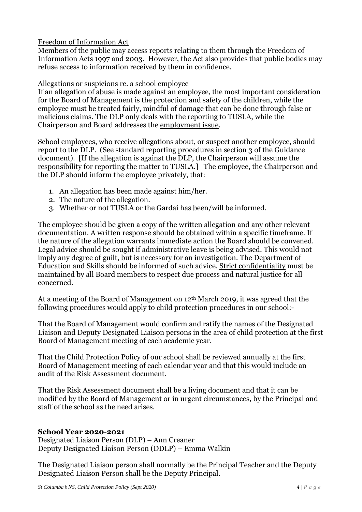## Freedom of Information Act

Members of the public may access reports relating to them through the Freedom of Information Acts 1997 and 2003. However, the Act also provides that public bodies may refuse access to information received by them in confidence.

Allegations or suspicions re. a school employee

If an allegation of abuse is made against an employee, the most important consideration for the Board of Management is the protection and safety of the children, while the employee must be treated fairly, mindful of damage that can be done through false or malicious claims. The DLP only deals with the reporting to TUSLA, while the Chairperson and Board addresses the employment issue.

School employees, who receive allegations about, or suspect another employee, should report to the DLP. (See standard reporting procedures in section 3 of the Guidance document). [If the allegation is against the DLP, the Chairperson will assume the responsibility for reporting the matter to TUSLA.] The employee, the Chairperson and the DLP should inform the employee privately, that:

- 1. An allegation has been made against him/her.
- 2. The nature of the allegation.
- 3. Whether or not TUSLA or the Gardaí has been/will be informed.

The employee should be given a copy of the written allegation and any other relevant documentation. A written response should be obtained within a specific timeframe. If the nature of the allegation warrants immediate action the Board should be convened. Legal advice should be sought if administrative leave is being advised. This would not imply any degree of guilt, but is necessary for an investigation. The Department of Education and Skills should be informed of such advice. Strict confidentiality must be maintained by all Board members to respect due process and natural justice for all concerned.

At a meeting of the Board of Management on 12th March 2019, it was agreed that the following procedures would apply to child protection procedures in our school:-

That the Board of Management would confirm and ratify the names of the Designated Liaison and Deputy Designated Liaison persons in the area of child protection at the first Board of Management meeting of each academic year.

That the Child Protection Policy of our school shall be reviewed annually at the first Board of Management meeting of each calendar year and that this would include an audit of the Risk Assessment document.

That the Risk Assessment document shall be a living document and that it can be modified by the Board of Management or in urgent circumstances, by the Principal and staff of the school as the need arises.

# **School Year 2020-2021**

Designated Liaison Person (DLP) – Ann Creaner Deputy Designated Liaison Person (DDLP) – Emma Walkin

The Designated Liaison person shall normally be the Principal Teacher and the Deputy Designated Liaison Person shall be the Deputy Principal.